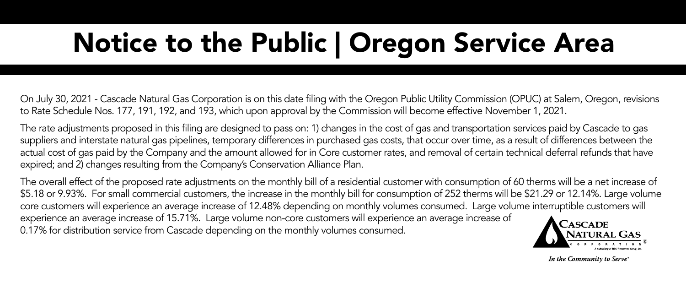## Notice to the Public | Oregon Service Area

On July 30, 2021 - Cascade Natural Gas Corporation is on this date filing with the Oregon Public Utility Commission (OPUC) at Salem, Oregon, revisions to Rate Schedule Nos. 177, 191, 192, and 193, which upon approval by the Commission will become effective November 1, 2021.

The rate adjustments proposed in this filing are designed to pass on: 1) changes in the cost of gas and transportation services paid by Cascade to gas suppliers and interstate natural gas pipelines, temporary differences in purchased gas costs, that occur over time, as a result of differences between the actual cost of gas paid by the Company and the amount allowed for in Core customer rates, and removal of certain technical deferral refunds that have expired; and 2) changes resulting from the Company's Conservation Alliance Plan.

The overall effect of the proposed rate adjustments on the monthly bill of a residential customer with consumption of 60 therms will be a net increase of \$5.18 or 9.93%. For small commercial customers, the increase in the monthly bill for consumption of 252 therms will be \$21.29 or 12.14%. Large volume core customers will experience an average increase of 12.48% depending on monthly volumes consumed. Large volume interruptible customers will experience an average increase of 15.71%. Large volume non-core customers will experience an average increase of 0.17% for distribution service from Cascade depending on the monthly volumes consumed.



In the Community to Serve\*